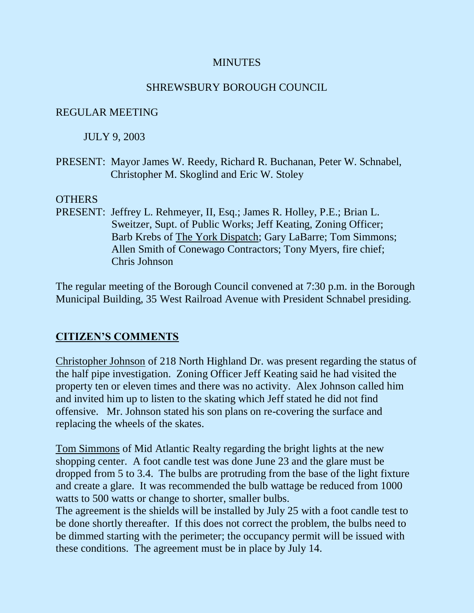#### **MINUTES**

## SHREWSBURY BOROUGH COUNCIL

#### REGULAR MEETING

#### JULY 9, 2003

PRESENT: Mayor James W. Reedy, Richard R. Buchanan, Peter W. Schnabel, Christopher M. Skoglind and Eric W. Stoley

#### **OTHERS**

PRESENT: Jeffrey L. Rehmeyer, II, Esq.; James R. Holley, P.E.; Brian L. Sweitzer, Supt. of Public Works; Jeff Keating, Zoning Officer; Barb Krebs of The York Dispatch; Gary LaBarre; Tom Simmons; Allen Smith of Conewago Contractors; Tony Myers, fire chief; Chris Johnson

The regular meeting of the Borough Council convened at 7:30 p.m. in the Borough Municipal Building, 35 West Railroad Avenue with President Schnabel presiding.

## **CITIZEN'S COMMENTS**

Christopher Johnson of 218 North Highland Dr. was present regarding the status of the half pipe investigation. Zoning Officer Jeff Keating said he had visited the property ten or eleven times and there was no activity. Alex Johnson called him and invited him up to listen to the skating which Jeff stated he did not find offensive. Mr. Johnson stated his son plans on re-covering the surface and replacing the wheels of the skates.

Tom Simmons of Mid Atlantic Realty regarding the bright lights at the new shopping center. A foot candle test was done June 23 and the glare must be dropped from 5 to 3.4. The bulbs are protruding from the base of the light fixture and create a glare. It was recommended the bulb wattage be reduced from 1000 watts to 500 watts or change to shorter, smaller bulbs.

The agreement is the shields will be installed by July 25 with a foot candle test to be done shortly thereafter. If this does not correct the problem, the bulbs need to be dimmed starting with the perimeter; the occupancy permit will be issued with these conditions. The agreement must be in place by July 14.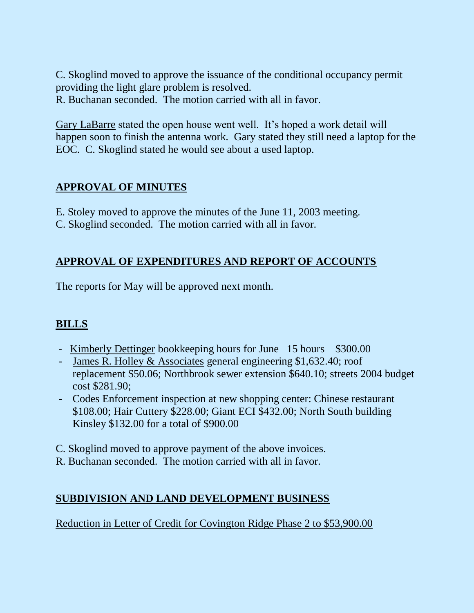C. Skoglind moved to approve the issuance of the conditional occupancy permit providing the light glare problem is resolved.

R. Buchanan seconded. The motion carried with all in favor.

Gary LaBarre stated the open house went well. It's hoped a work detail will happen soon to finish the antenna work. Gary stated they still need a laptop for the EOC. C. Skoglind stated he would see about a used laptop.

# **APPROVAL OF MINUTES**

- E. Stoley moved to approve the minutes of the June 11, 2003 meeting.
- C. Skoglind seconded. The motion carried with all in favor.

# **APPROVAL OF EXPENDITURES AND REPORT OF ACCOUNTS**

The reports for May will be approved next month.

# **BILLS**

- Kimberly Dettinger bookkeeping hours for June 15 hours \$300.00
- James R. Holley & Associates general engineering \$1,632.40; roof replacement \$50.06; Northbrook sewer extension \$640.10; streets 2004 budget cost \$281.90;
- Codes Enforcement inspection at new shopping center: Chinese restaurant \$108.00; Hair Cuttery \$228.00; Giant ECI \$432.00; North South building Kinsley \$132.00 for a total of \$900.00

C. Skoglind moved to approve payment of the above invoices.

R. Buchanan seconded. The motion carried with all in favor.

## **SUBDIVISION AND LAND DEVELOPMENT BUSINESS**

Reduction in Letter of Credit for Covington Ridge Phase 2 to \$53,900.00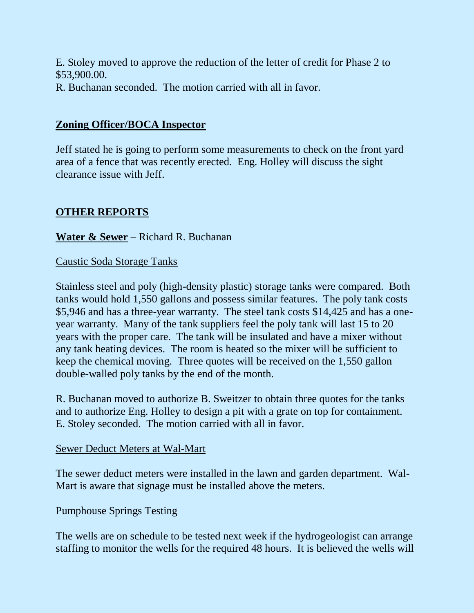E. Stoley moved to approve the reduction of the letter of credit for Phase 2 to \$53,900.00. R. Buchanan seconded. The motion carried with all in favor.

## **Zoning Officer/BOCA Inspector**

Jeff stated he is going to perform some measurements to check on the front yard area of a fence that was recently erected. Eng. Holley will discuss the sight clearance issue with Jeff.

## **OTHER REPORTS**

## **Water & Sewer** – Richard R. Buchanan

#### Caustic Soda Storage Tanks

Stainless steel and poly (high-density plastic) storage tanks were compared. Both tanks would hold 1,550 gallons and possess similar features. The poly tank costs \$5,946 and has a three-year warranty. The steel tank costs \$14,425 and has a oneyear warranty. Many of the tank suppliers feel the poly tank will last 15 to 20 years with the proper care. The tank will be insulated and have a mixer without any tank heating devices. The room is heated so the mixer will be sufficient to keep the chemical moving. Three quotes will be received on the 1,550 gallon double-walled poly tanks by the end of the month.

R. Buchanan moved to authorize B. Sweitzer to obtain three quotes for the tanks and to authorize Eng. Holley to design a pit with a grate on top for containment. E. Stoley seconded. The motion carried with all in favor.

#### Sewer Deduct Meters at Wal-Mart

The sewer deduct meters were installed in the lawn and garden department. Wal-Mart is aware that signage must be installed above the meters.

#### Pumphouse Springs Testing

The wells are on schedule to be tested next week if the hydrogeologist can arrange staffing to monitor the wells for the required 48 hours. It is believed the wells will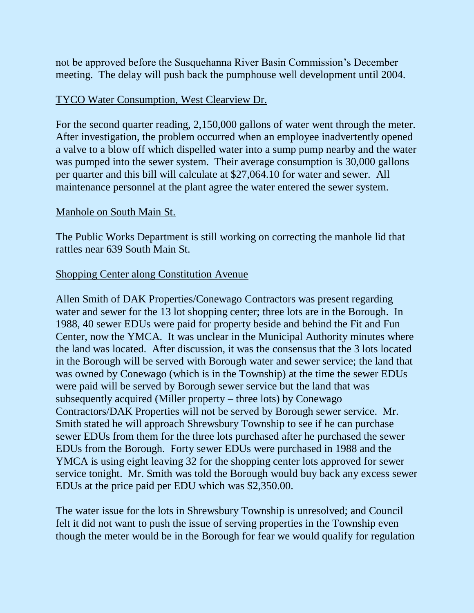not be approved before the Susquehanna River Basin Commission's December meeting. The delay will push back the pumphouse well development until 2004.

## TYCO Water Consumption, West Clearview Dr.

For the second quarter reading, 2,150,000 gallons of water went through the meter. After investigation, the problem occurred when an employee inadvertently opened a valve to a blow off which dispelled water into a sump pump nearby and the water was pumped into the sewer system. Their average consumption is 30,000 gallons per quarter and this bill will calculate at \$27,064.10 for water and sewer. All maintenance personnel at the plant agree the water entered the sewer system.

## Manhole on South Main St.

The Public Works Department is still working on correcting the manhole lid that rattles near 639 South Main St.

## Shopping Center along Constitution Avenue

Allen Smith of DAK Properties/Conewago Contractors was present regarding water and sewer for the 13 lot shopping center; three lots are in the Borough. In 1988, 40 sewer EDUs were paid for property beside and behind the Fit and Fun Center, now the YMCA. It was unclear in the Municipal Authority minutes where the land was located. After discussion, it was the consensus that the 3 lots located in the Borough will be served with Borough water and sewer service; the land that was owned by Conewago (which is in the Township) at the time the sewer EDUs were paid will be served by Borough sewer service but the land that was subsequently acquired (Miller property – three lots) by Conewago Contractors/DAK Properties will not be served by Borough sewer service. Mr. Smith stated he will approach Shrewsbury Township to see if he can purchase sewer EDUs from them for the three lots purchased after he purchased the sewer EDUs from the Borough. Forty sewer EDUs were purchased in 1988 and the YMCA is using eight leaving 32 for the shopping center lots approved for sewer service tonight. Mr. Smith was told the Borough would buy back any excess sewer EDUs at the price paid per EDU which was \$2,350.00.

The water issue for the lots in Shrewsbury Township is unresolved; and Council felt it did not want to push the issue of serving properties in the Township even though the meter would be in the Borough for fear we would qualify for regulation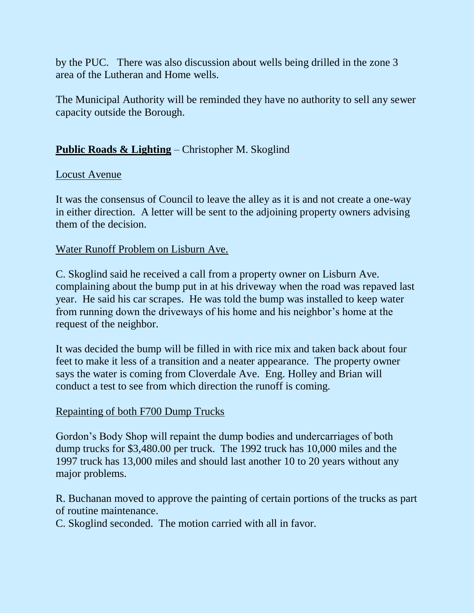by the PUC. There was also discussion about wells being drilled in the zone 3 area of the Lutheran and Home wells.

The Municipal Authority will be reminded they have no authority to sell any sewer capacity outside the Borough.

# **Public Roads & Lighting** – Christopher M. Skoglind

## Locust Avenue

It was the consensus of Council to leave the alley as it is and not create a one-way in either direction. A letter will be sent to the adjoining property owners advising them of the decision.

## Water Runoff Problem on Lisburn Ave.

C. Skoglind said he received a call from a property owner on Lisburn Ave. complaining about the bump put in at his driveway when the road was repaved last year. He said his car scrapes. He was told the bump was installed to keep water from running down the driveways of his home and his neighbor's home at the request of the neighbor.

It was decided the bump will be filled in with rice mix and taken back about four feet to make it less of a transition and a neater appearance. The property owner says the water is coming from Cloverdale Ave. Eng. Holley and Brian will conduct a test to see from which direction the runoff is coming.

## Repainting of both F700 Dump Trucks

Gordon's Body Shop will repaint the dump bodies and undercarriages of both dump trucks for \$3,480.00 per truck. The 1992 truck has 10,000 miles and the 1997 truck has 13,000 miles and should last another 10 to 20 years without any major problems.

R. Buchanan moved to approve the painting of certain portions of the trucks as part of routine maintenance.

C. Skoglind seconded. The motion carried with all in favor.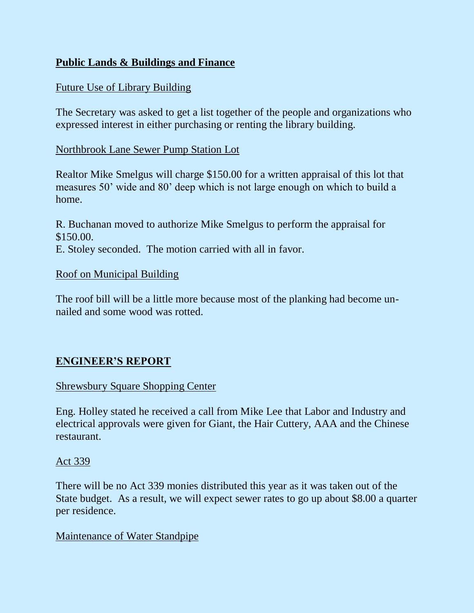## **Public Lands & Buildings and Finance**

## Future Use of Library Building

The Secretary was asked to get a list together of the people and organizations who expressed interest in either purchasing or renting the library building.

#### Northbrook Lane Sewer Pump Station Lot

Realtor Mike Smelgus will charge \$150.00 for a written appraisal of this lot that measures 50' wide and 80' deep which is not large enough on which to build a home.

R. Buchanan moved to authorize Mike Smelgus to perform the appraisal for \$150.00.

E. Stoley seconded. The motion carried with all in favor.

#### Roof on Municipal Building

The roof bill will be a little more because most of the planking had become unnailed and some wood was rotted.

## **ENGINEER'S REPORT**

## Shrewsbury Square Shopping Center

Eng. Holley stated he received a call from Mike Lee that Labor and Industry and electrical approvals were given for Giant, the Hair Cuttery, AAA and the Chinese restaurant.

#### Act 339

There will be no Act 339 monies distributed this year as it was taken out of the State budget. As a result, we will expect sewer rates to go up about \$8.00 a quarter per residence.

## Maintenance of Water Standpipe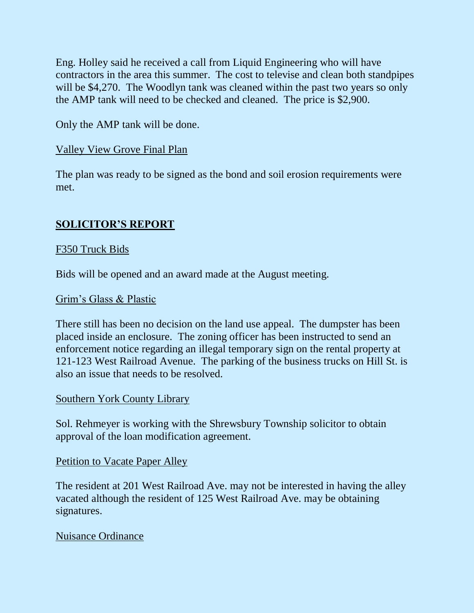Eng. Holley said he received a call from Liquid Engineering who will have contractors in the area this summer. The cost to televise and clean both standpipes will be \$4,270. The Woodlyn tank was cleaned within the past two years so only the AMP tank will need to be checked and cleaned. The price is \$2,900.

Only the AMP tank will be done.

## Valley View Grove Final Plan

The plan was ready to be signed as the bond and soil erosion requirements were met.

## **SOLICITOR'S REPORT**

## F350 Truck Bids

Bids will be opened and an award made at the August meeting.

## Grim's Glass & Plastic

There still has been no decision on the land use appeal. The dumpster has been placed inside an enclosure. The zoning officer has been instructed to send an enforcement notice regarding an illegal temporary sign on the rental property at 121-123 West Railroad Avenue. The parking of the business trucks on Hill St. is also an issue that needs to be resolved.

#### Southern York County Library

Sol. Rehmeyer is working with the Shrewsbury Township solicitor to obtain approval of the loan modification agreement.

## Petition to Vacate Paper Alley

The resident at 201 West Railroad Ave. may not be interested in having the alley vacated although the resident of 125 West Railroad Ave. may be obtaining signatures.

## Nuisance Ordinance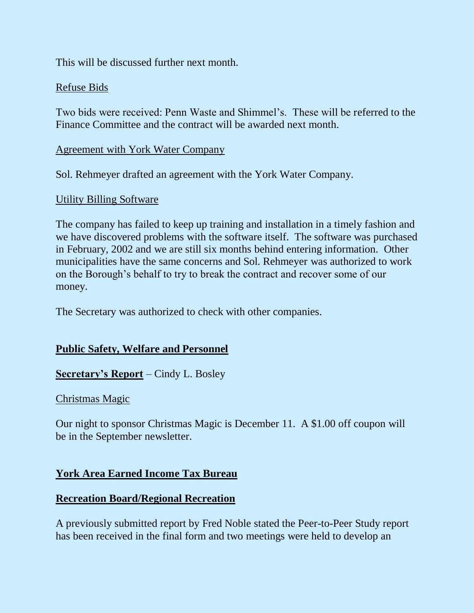This will be discussed further next month.

## Refuse Bids

Two bids were received: Penn Waste and Shimmel's. These will be referred to the Finance Committee and the contract will be awarded next month.

#### Agreement with York Water Company

Sol. Rehmeyer drafted an agreement with the York Water Company.

#### Utility Billing Software

The company has failed to keep up training and installation in a timely fashion and we have discovered problems with the software itself. The software was purchased in February, 2002 and we are still six months behind entering information. Other municipalities have the same concerns and Sol. Rehmeyer was authorized to work on the Borough's behalf to try to break the contract and recover some of our money.

The Secretary was authorized to check with other companies.

## **Public Safety, Welfare and Personnel**

**Secretary's Report** – Cindy L. Bosley

#### Christmas Magic

Our night to sponsor Christmas Magic is December 11. A \$1.00 off coupon will be in the September newsletter.

## **York Area Earned Income Tax Bureau**

#### **Recreation Board/Regional Recreation**

A previously submitted report by Fred Noble stated the Peer-to-Peer Study report has been received in the final form and two meetings were held to develop an